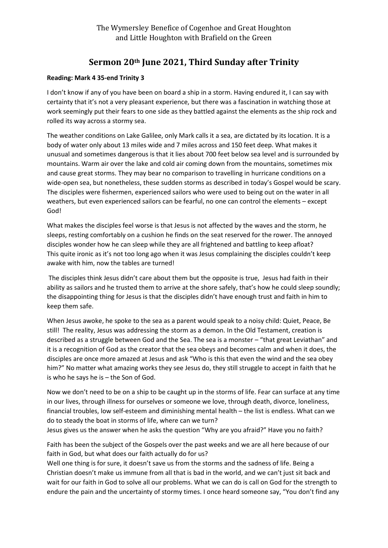## **Sermon 20th June 2021, Third Sunday after Trinity**

## **Reading: Mark 4 35-end Trinity 3**

I don't know if any of you have been on board a ship in a storm. Having endured it, I can say with certainty that it's not a very pleasant experience, but there was a fascination in watching those at work seemingly put their fears to one side as they battled against the elements as the ship rock and rolled its way across a stormy sea.

The weather conditions on Lake Galilee, only Mark calls it a sea, are dictated by its location. It is a body of water only about 13 miles wide and 7 miles across and 150 feet deep. What makes it unusual and sometimes dangerous is that it lies about 700 feet below sea level and is surrounded by mountains. Warm air over the lake and cold air coming down from the mountains, sometimes mix and cause great storms. They may bear no comparison to travelling in hurricane conditions on a wide-open sea, but nonetheless, these sudden storms as described in today's Gospel would be scary. The disciples were fishermen, experienced sailors who were used to being out on the water in all weathers, but even experienced sailors can be fearful, no one can control the elements – except God!

What makes the disciples feel worse is that Jesus is not affected by the waves and the storm, he sleeps, resting comfortably on a cushion he finds on the seat reserved for the rower. The annoyed disciples wonder how he can sleep while they are all frightened and battling to keep afloat? This quite ironic as it's not too long ago when it was Jesus complaining the disciples couldn't keep awake with him, now the tables are turned!

The disciples think Jesus didn't care about them but the opposite is true, Jesus had faith in their ability as sailors and he trusted them to arrive at the shore safely, that's how he could sleep soundly; the disappointing thing for Jesus is that the disciples didn't have enough trust and faith in him to keep them safe.

When Jesus awoke, he spoke to the sea as a parent would speak to a noisy child: Quiet, Peace, Be still! The reality, Jesus was addressing the storm as a demon. In the Old Testament, creation is described as a struggle between God and the Sea. The sea is a monster – "that great Leviathan" and it is a recognition of God as the creator that the sea obeys and becomes calm and when it does, the disciples are once more amazed at Jesus and ask "Who is this that even the wind and the sea obey him?" No matter what amazing works they see Jesus do, they still struggle to accept in faith that he is who he says he is – the Son of God.

Now we don't need to be on a ship to be caught up in the storms of life. Fear can surface at any time in our lives, through illness for ourselves or someone we love, through death, divorce, loneliness, financial troubles, low self-esteem and diminishing mental health – the list is endless. What can we do to steady the boat in storms of life, where can we turn?

Jesus gives us the answer when he asks the question "Why are you afraid?" Have you no faith?

Faith has been the subject of the Gospels over the past weeks and we are all here because of our faith in God, but what does our faith actually do for us?

Well one thing is for sure, it doesn't save us from the storms and the sadness of life. Being a Christian doesn't make us immune from all that is bad in the world, and we can't just sit back and wait for our faith in God to solve all our problems. What we can do is call on God for the strength to endure the pain and the uncertainty of stormy times. I once heard someone say, "You don't find any